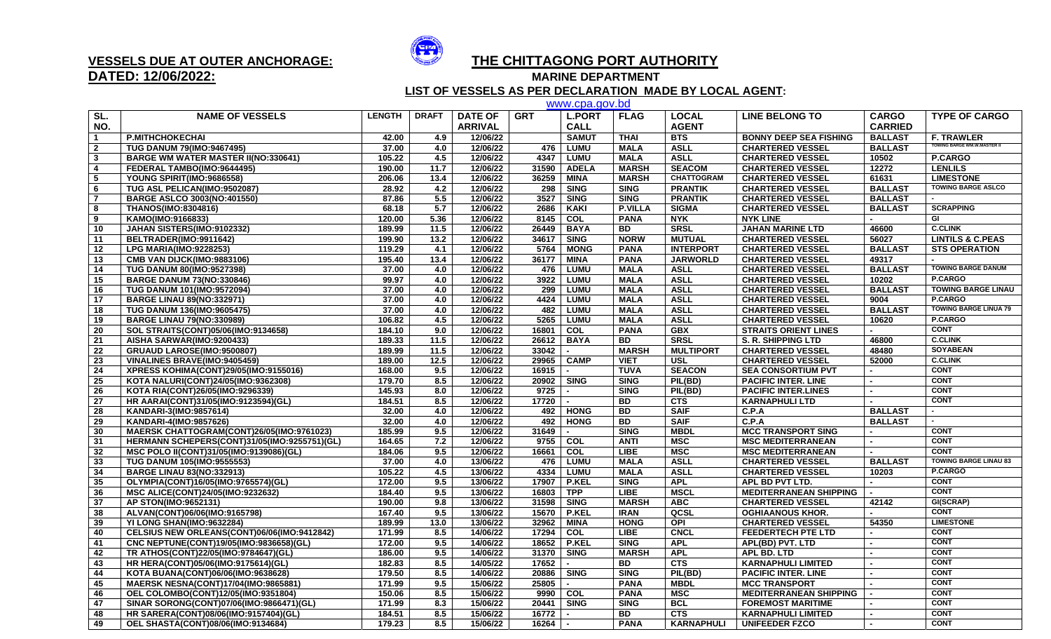

## **DATED: 12/06/2022:**

## **VESSELS DUE AT OUTER ANCHORAGE: THE CHITTAGONG PORT AUTHORITY**

**MARINE DEPARTMENT** 

 **LIST OF VESSELS AS PER DECLARATION MADE BY LOCAL AGENT:**

|                 | www.cpa.gov.bd                               |               |              |                |            |               |                |                   |                               |                |                                    |  |  |
|-----------------|----------------------------------------------|---------------|--------------|----------------|------------|---------------|----------------|-------------------|-------------------------------|----------------|------------------------------------|--|--|
| SL.             | <b>NAME OF VESSELS</b>                       | <b>LENGTH</b> | <b>DRAFT</b> | <b>DATE OF</b> | <b>GRT</b> | <b>L.PORT</b> | <b>FLAG</b>    | <b>LOCAL</b>      | <b>LINE BELONG TO</b>         | <b>CARGO</b>   | <b>TYPE OF CARGO</b>               |  |  |
| NO.             |                                              |               |              | <b>ARRIVAL</b> |            | <b>CALL</b>   |                | <b>AGENT</b>      |                               | <b>CARRIED</b> |                                    |  |  |
|                 | <b>P.MITHCHOKECHAI</b>                       | 42.00         | 4.9          | 12/06/22       |            | <b>SAMUT</b>  | <b>THAI</b>    | <b>BTS</b>        | <b>BONNY DEEP SEA FISHING</b> | <b>BALLAST</b> | <b>F. TRAWLER</b>                  |  |  |
| $\overline{2}$  | <b>TUG DANUM 79(IMO:9467495)</b>             | 37.00         | 4.0          | 12/06/22       | 476        | <b>LUMU</b>   | <b>MALA</b>    | <b>ASLL</b>       | <b>CHARTERED VESSEL</b>       | <b>BALLAST</b> | <b>TOWING BARGE WM.W.MASTER II</b> |  |  |
| $\mathbf{3}$    | <b>BARGE WM WATER MASTER II(NO:330641)</b>   | 105.22        | 4.5          | 12/06/22       | 4347       | <b>LUMU</b>   | <b>MALA</b>    | <b>ASLL</b>       | <b>CHARTERED VESSEL</b>       | 10502          | P.CARGO                            |  |  |
| $\overline{4}$  | FEDERAL TAMBO(IMO:9644495)                   | 190.00        | 11.7         | 12/06/22       | 31590      | <b>ADELA</b>  | <b>MARSH</b>   | <b>SEACOM</b>     | <b>CHARTERED VESSEL</b>       | 12272          | <b>LENLILS</b>                     |  |  |
| 5               | YOUNG SPIRIT(IMO:9686558)                    | 206.06        | 13.4         | 12/06/22       | 36259      | <b>MINA</b>   | <b>MARSH</b>   | <b>CHATTOGRAM</b> | <b>CHARTERED VESSEL</b>       | 61631          | <b>LIMESTONE</b>                   |  |  |
| 6               | TUG ASL PELICAN(IMO:9502087)                 | 28.92         | 4.2          | 12/06/22       | 298        | <b>SING</b>   | <b>SING</b>    | <b>PRANTIK</b>    | <b>CHARTERED VESSEL</b>       | <b>BALLAST</b> | <b>TOWING BARGE ASLCO</b>          |  |  |
| $\overline{7}$  | <b>BARGE ASLCO 3003(NO:401550)</b>           | 87.86         | 5.5          | 12/06/22       | 3527       | <b>SING</b>   | <b>SING</b>    | <b>PRANTIK</b>    | <b>CHARTERED VESSEL</b>       | <b>BALLAST</b> |                                    |  |  |
| 8               | <b>THANOS(IMO:8304816)</b>                   | 68.18         | 5.7          | 12/06/22       | 2686       | <b>KAKI</b>   | <b>P.VILLA</b> | <b>SIGMA</b>      | <b>CHARTERED VESSEL</b>       | <b>BALLAST</b> | <b>SCRAPPING</b>                   |  |  |
| 9               | KAMO(IMO:9166833)                            | 120.00        | 5.36         | 12/06/22       | 8145       | <b>COL</b>    | <b>PANA</b>    | <b>NYK</b>        | <b>NYK LINE</b>               |                | GI                                 |  |  |
| 10              | JAHAN SISTERS(IMO:9102332)                   | 189.99        | 11.5         | 12/06/22       | 26449      | <b>BAYA</b>   | <b>BD</b>      | <b>SRSL</b>       | <b>JAHAN MARINE LTD</b>       | 46600          | <b>C.CLINK</b>                     |  |  |
| 11              | BELTRADER(IMO:9911642)                       | 199.90        | 13.2         | 12/06/22       | 34617      | <b>SING</b>   | <b>NORW</b>    | <b>MUTUAL</b>     | <b>CHARTERED VESSEL</b>       | 56027          | <b>LINTILS &amp; C.PEAS</b>        |  |  |
| 12              | <b>LPG MARIA(IMO:9228253)</b>                | 119.29        | 4.1          | 12/06/22       | 5764       | <b>MONG</b>   | <b>PANA</b>    | <b>INTERPORT</b>  | <b>CHARTERED VESSEL</b>       | <b>BALLAST</b> | <b>STS OPERATION</b>               |  |  |
| 13              | <b>CMB VAN DIJCK(IMO:9883106)</b>            | 195.40        | 13.4         | 12/06/22       | 36177      | <b>MINA</b>   | <b>PANA</b>    | <b>JARWORLD</b>   | <b>CHARTERED VESSEL</b>       | 49317          |                                    |  |  |
| 14              | <b>TUG DANUM 80(IMO:9527398)</b>             | 37.00         | 4.0          | 12/06/22       | 476        | <b>LUMU</b>   | <b>MALA</b>    | <b>ASLL</b>       | <b>CHARTERED VESSEL</b>       | <b>BALLAST</b> | <b>TOWING BARGE DANUM</b>          |  |  |
| $\overline{15}$ | <b>BARGE DANUM 73(NO:330846)</b>             | 99.97         | 4.0          | 12/06/22       | 3922       | <b>LUMU</b>   | <b>MALA</b>    | <b>ASLL</b>       | <b>CHARTERED VESSEL</b>       | 10202          | P.CARGO                            |  |  |
| 16              | TUG DANUM 101(IMO:9572094)                   | 37.00         | 4.0          | 12/06/22       | 299        | <b>LUMU</b>   | <b>MALA</b>    | <b>ASLL</b>       | <b>CHARTERED VESSEL</b>       | <b>BALLAST</b> | <b>TOWING BARGE LINAU</b>          |  |  |
| 17              | <b>BARGE LINAU 89(NO:332971)</b>             | 37.00         | 4.0          | 12/06/22       | 4424       | <b>LUMU</b>   | <b>MALA</b>    | <b>ASLL</b>       | <b>CHARTERED VESSEL</b>       | 9004           | P.CARGO                            |  |  |
| 18              | <b>TUG DANUM 136(IMO:9605475)</b>            | 37.00         | 4.0          | 12/06/22       | 482        | <b>LUMU</b>   | <b>MALA</b>    | <b>ASLL</b>       | <b>CHARTERED VESSEL</b>       | <b>BALLAST</b> | <b>TOWING BARGE LINUA 79</b>       |  |  |
| 19              | <b>BARGE LINAU 79(NO:330989)</b>             | 106.82        | 4.5          | 12/06/22       | 5265       | <b>LUMU</b>   | <b>MALA</b>    | <b>ASLL</b>       | <b>CHARTERED VESSEL</b>       | 10620          | P.CARGO                            |  |  |
| 20              | SOL STRAITS(CONT)05/06(IMO:9134658)          | 184.10        | 9.0          | 12/06/22       | 16801      | <b>COL</b>    | <b>PANA</b>    | <b>GBX</b>        | <b>STRAITS ORIENT LINES</b>   |                | <b>CONT</b>                        |  |  |
| 21              | AISHA SARWAR(IMO:9200433)                    | 189.33        | 11.5         | 12/06/22       | 26612      | <b>BAYA</b>   | BD             | <b>SRSL</b>       | <b>S. R. SHIPPING LTD</b>     | 46800          | <b>C.CLINK</b>                     |  |  |
| 22              | GRUAUD LAROSE(IMO:9500807)                   | 189.99        | 11.5         | 12/06/22       | 33042      |               | <b>MARSH</b>   | <b>MULTIPORT</b>  | <b>CHARTERED VESSEL</b>       | 48480          | <b>SOYABEAN</b>                    |  |  |
| 23              | VINALINES BRAVE(IMO:9405459)                 | 189.00        | 12.5         | 12/06/22       | 29965      | <b>CAMP</b>   | <b>VIET</b>    | <b>USL</b>        | <b>CHARTERED VESSEL</b>       | 52000          | <b>C.CLINK</b>                     |  |  |
| 24              | XPRESS KOHIMA(CONT)29/05(IMO:9155016)        | 168.00        | 9.5          | 12/06/22       | 16915      |               | <b>TUVA</b>    | <b>SEACON</b>     | <b>SEA CONSORTIUM PVT</b>     |                | <b>CONT</b>                        |  |  |
| 25              | KOTA NALURI(CONT)24/05(IMO:9362308)          | 179.70        | 8.5          | 12/06/22       | 20902      | <b>SING</b>   | <b>SING</b>    | PIL(BD)           | <b>PACIFIC INTER. LINE</b>    |                | <b>CONT</b>                        |  |  |
| 26              | KOTA RIA(CONT)26/05(IMO:9296339)             | 145.93        | 8.0          | 12/06/22       | 9725       |               | <b>SING</b>    | PIL(BD)           | <b>PACIFIC INTER.LINES</b>    |                | <b>CONT</b>                        |  |  |
| 27              | HR AARAI(CONT)31/05(IMO:9123594)(GL)         | 184.51        | 8.5          | 12/06/22       | 17720      |               | <b>BD</b>      | <b>CTS</b>        | <b>KARNAPHULI LTD</b>         |                | <b>CONT</b>                        |  |  |
| 28              | KANDARI-3(IMO:9857614)                       | 32.00         | 4.0          | 12/06/22       | 492        | <b>HONG</b>   | <b>BD</b>      | <b>SAIF</b>       | C.P.A                         | <b>BALLAST</b> |                                    |  |  |
| 29              | KANDARI-4(IMO:9857626)                       | 32.00         | 4.0          | 12/06/22       | 492        | <b>HONG</b>   | <b>BD</b>      | <b>SAIF</b>       | C.P.A                         | <b>BALLAST</b> |                                    |  |  |
| 30              | MAERSK CHATTOGRAM(CONT)26/05(IMO:9761023)    | 185.99        | 9.5          | 12/06/22       | 31649      |               | <b>SING</b>    | <b>MBDL</b>       | <b>MCC TRANSPORT SING</b>     |                | <b>CONT</b>                        |  |  |
| 31              | HERMANN SCHEPERS(CONT)31/05(IMO:9255751)(GL) | 164.65        | 7.2          | 12/06/22       | 9755       | COL           | <b>ANTI</b>    | <b>MSC</b>        | <b>MSC MEDITERRANEAN</b>      |                | <b>CONT</b>                        |  |  |
| 32              | MSC POLO II(CONT)31/05(IMO:9139086)(GL)      | 184.06        | 9.5          | 12/06/22       | 16661      | COL           | <b>LIBE</b>    | <b>MSC</b>        | <b>MSC MEDITERRANEAN</b>      |                | CONT                               |  |  |
| 33              | <b>TUG DANUM 105(IMO:9555553)</b>            | 37.00         | 4.0          | 13/06/22       | 476        | <b>LUMU</b>   | <b>MALA</b>    | <b>ASLL</b>       | <b>CHARTERED VESSEL</b>       | <b>BALLAST</b> | <b>TOWING BARGE LINAU 83</b>       |  |  |
| 34              | <b>BARGE LINAU 83(NO:332913)</b>             | 105.22        | 4.5          | 13/06/22       | 4334       | <b>LUMU</b>   | <b>MALA</b>    | <b>ASLL</b>       | <b>CHARTERED VESSEL</b>       | 10203          | P.CARGO                            |  |  |
| 35              | OLYMPIA(CONT)16/05(IMO:9765574)(GL)          | 172.00        | 9.5          | 13/06/22       | 17907      | P.KEL         | <b>SING</b>    | <b>APL</b>        | APL BD PVT LTD.               |                | <b>CONT</b>                        |  |  |
| 36              | MSC ALICE(CONT)24/05(IMO:9232632)            | 184.40        | 9.5          | 13/06/22       | 16803      | <b>TPP</b>    | <b>LIBE</b>    | <b>MSCL</b>       | <b>MEDITERRANEAN SHIPPING</b> |                | <b>CONT</b>                        |  |  |
| 37              | AP STON(IMO:9652131)                         | 190.00        | 9.8          | 13/06/22       | 31598      | <b>SING</b>   | <b>MARSH</b>   | <b>ABC</b>        | <b>CHARTERED VESSEL</b>       | 42142          | GI(SCRAP)                          |  |  |
| 38              | ALVAN(CONT)06/06(IMO:9165798)                | 167.40        | 9.5          | 13/06/22       | 15670      | <b>P.KEL</b>  | <b>IRAN</b>    | QCSL              | <b>OGHIAANOUS KHOR.</b>       |                | <b>CONT</b>                        |  |  |
| 39              | YI LONG SHAN(IMO:9632284)                    | 189.99        | 13.0         | 13/06/22       | 32962      | <b>MINA</b>   | <b>HONG</b>    | <b>OPI</b>        | <b>CHARTERED VESSEL</b>       | 54350          | <b>LIMESTONE</b>                   |  |  |
| 40              | CELSIUS NEW ORLEANS(CONT)06/06(IMO:9412842)  | 171.99        | 8.5          | 14/06/22       | 17294      | <b>COL</b>    | <b>LIBE</b>    | <b>CNCL</b>       | <b>FEEDERTECH PTE LTD</b>     |                | <b>CONT</b>                        |  |  |
| 41              | CNC NEPTUNE(CONT)19/05(IMO:9836658)(GL)      | 172.00        | 9.5          | 14/06/22       | 18652      | <b>P.KEL</b>  | <b>SING</b>    | <b>APL</b>        | APL(BD) PVT. LTD              |                | <b>CONT</b>                        |  |  |
| 42              | TR ATHOS(CONT)22/05(IMO:9784647)(GL)         | 186.00        | 9.5          | 14/06/22       | 31370      | <b>SING</b>   | <b>MARSH</b>   | <b>APL</b>        | APL BD. LTD                   |                | <b>CONT</b>                        |  |  |
| 43              | HR HERA(CONT)05/06(IMO:9175614)(GL)          | 182.83        | 8.5          | 14/05/22       | 17652      |               | <b>BD</b>      | <b>CTS</b>        | <b>KARNAPHULI LIMITED</b>     |                | <b>CONT</b>                        |  |  |
| 44              | KOTA BUANA(CONT)06/06(IMO:9638628)           | 179.50        | 8.5          | 14/06/22       | 20886      | <b>SING</b>   | <b>SING</b>    | PIL(BD)           | <b>PACIFIC INTER. LINE</b>    |                | <b>CONT</b>                        |  |  |
| 45              | <b>MAERSK NESNA(CONT)17/04(IMO:9865881)</b>  | 171.99        | 9.5          | 15/06/22       | 25805      |               | <b>PANA</b>    | <b>MBDL</b>       | <b>MCC TRANSPORT</b>          |                | <b>CONT</b>                        |  |  |
| 46              | OEL COLOMBO(CONT)12/05(IMO:9351804)          | 150.06        | 8.5          | 15/06/22       | 9990       | COL           | <b>PANA</b>    | MSC               | <b>MEDITERRANEAN SHIPPING</b> |                | <b>CONT</b>                        |  |  |
| 47              | SINAR SORONG(CONT)07/06(IMO:9866471)(GL)     | 171.99        | 8.3          | 15/06/22       | 20441      | <b>SING</b>   | <b>SING</b>    | <b>BCL</b>        | <b>FOREMOST MARITIME</b>      |                | <b>CONT</b>                        |  |  |
| 48              | HR SARERA(CONT)08/06(IMO:9157404)(GL)        | 184.51        | 8.5          | 15/06/22       | 16772      |               | <b>BD</b>      | <b>CTS</b>        | <b>KARNAPHULI LIMITED</b>     |                | <b>CONT</b>                        |  |  |
| 49              | OEL SHASTA(CONT)08/06(IMO:9134684)           | 179.23        | 8.5          | 15/06/22       | 16264      |               | <b>PANA</b>    | <b>KARNAPHULI</b> | <b>UNIFEEDER FZCO</b>         |                | <b>CONT</b>                        |  |  |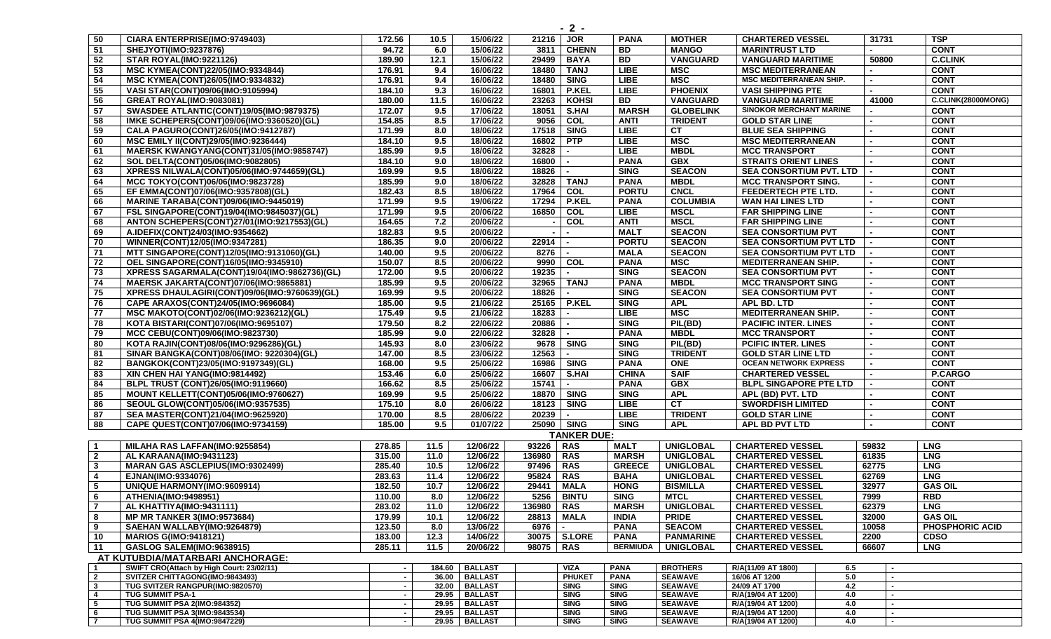| 50                      | CIARA ENTERPRISE(IMO:9749403)                                                | 172.56           | 10.5 | 15/06/22                            | 21216 JOR      |                              | <b>PANA</b>                | <b>MOTHER</b>    | <b>CHARTERED VESSEL</b>             |            | 31731 |                  | <b>TSP</b>                |
|-------------------------|------------------------------------------------------------------------------|------------------|------|-------------------------------------|----------------|------------------------------|----------------------------|------------------|-------------------------------------|------------|-------|------------------|---------------------------|
| 51                      | SHEJYOTI(IMO:9237876)                                                        | 94.72            | 6.0  | 15/06/22                            | 3811           | <b>CHENN</b>                 | <b>BD</b>                  | <b>MANGO</b>     | <b>MARINTRUST LTD</b>               |            |       |                  | <b>CONT</b>               |
| 52                      | <b>STAR ROYAL(IMO:9221126)</b>                                               | 189.90           | 12.1 | 15/06/22                            | 29499          | <b>BAYA</b>                  | <b>BD</b>                  | <b>VANGUARD</b>  | <b>VANGUARD MARITIME</b>            |            | 50800 |                  | <b>C.CLINK</b>            |
| 53                      | MSC KYMEA(CONT)22/05(IMO:9334844)                                            | 176.91           | 9.4  | 16/06/22                            | 18480          | <b>TANJ</b>                  | <b>LIBE</b>                | <b>MSC</b>       | <b>MSC MEDITERRANEAN</b>            |            |       |                  | <b>CONT</b>               |
| 54                      | MSC KYMEA(CONT)26/05(IMO:9334832)                                            | 176.91           | 9.4  | 16/06/22                            |                | 18480 SING                   | <b>LIBE</b>                | <b>MSC</b>       | <b>MSC MEDITERRANEAN SHIP.</b>      |            |       |                  | <b>CONT</b>               |
| 55                      | VASI STAR(CONT)09/06(IMO:9105994)                                            | 184.10           | 9.3  | 16/06/22                            | 16801          | <b>P.KEL</b>                 | <b>LIBE</b>                | <b>PHOENIX</b>   | <b>VASI SHIPPING PTE</b>            |            |       |                  | <b>CONT</b>               |
| 56                      | <b>GREAT ROYAL(IMO:9083081)</b>                                              | 180.00           | 11.5 | 16/06/22                            | 23263          | KOHSI                        | <b>BD</b>                  | <b>VANGUARD</b>  | <b>VANGUARD MARITIME</b>            |            | 41000 |                  | <b>C.CLINK(28000MONG)</b> |
| 57                      | SWASDEE ATLANTIC(CONT)19/05(IMO:9879375)                                     | 172.07           | 9.5  | 17/06/22                            | 18051          | S.HAI                        | <b>MARSH</b>               | <b>GLOBELINK</b> | <b>SINOKOR MERCHANT MARINE</b>      |            |       |                  | <b>CONT</b>               |
| 58                      | IMKE SCHEPERS(CONT)09/06(IMO:9360520)(GL)                                    | 154.85           | 8.5  | 17/06/22                            | 9056           | COL                          | <b>ANTI</b>                | <b>TRIDENT</b>   | <b>GOLD STAR LINE</b>               |            |       |                  | <b>CONT</b>               |
| 59                      | CALA PAGURO(CONT)26/05(IMO:9412787)                                          | 171.99           | 8.0  | 18/06/22                            | 17518          | <b>SING</b>                  | <b>LIBE</b>                | CT               | <b>BLUE SEA SHIPPING</b>            |            |       |                  | <b>CONT</b>               |
| 60                      | MSC EMILY II(CONT)29/05(IMO:9236444)                                         | 184.10           | 9.5  | 18/06/22                            | 16802          | PTP                          | <b>LIBE</b>                | <b>MSC</b>       | <b>MSC MEDITERRANEAN</b>            |            |       |                  | <b>CONT</b>               |
| 61                      | MAERSK KWANGYANG(CONT)31/05(IMO:9858747)                                     | 185.99           | 9.5  | 18/06/22                            | 32828          |                              | <b>LIBE</b>                | <b>MBDL</b>      | <b>MCC TRANSPORT</b>                |            |       |                  | <b>CONT</b>               |
| 62                      | SOL DELTA(CONT)05/06(IMO:9082805)                                            | 184.10           | 9.0  | 18/06/22                            | 16800          |                              | <b>PANA</b>                | <b>GBX</b>       | <b>STRAITS ORIENT LINES</b>         |            |       |                  | <b>CONT</b>               |
| 63                      | XPRESS NILWALA(CONT)05/06(IMO:9744659)(GL)                                   | 169.99           | 9.5  | 18/06/22                            | 18826          |                              | <b>SING</b>                | <b>SEACON</b>    | <b>SEA CONSORTIUM PVT. LTD</b>      |            |       |                  | <b>CONT</b>               |
| 64                      | MCC TOKYO(CONT)06/06(IMO:9823728)                                            | 185.99           | 9.0  | 18/06/22                            | 32828          | <b>TANJ</b>                  | <b>PANA</b>                | <b>MBDL</b>      | <b>MCC TRANSPORT SING.</b>          |            |       |                  | <b>CONT</b>               |
| 65                      | EF EMMA(CONT)07/06(IMO:9357808)(GL)                                          | 182.43           | 8.5  | 18/06/22                            | 17964          | COL                          | <b>PORTU</b>               | <b>CNCL</b>      | FEEDERTECH PTE LTD.                 |            |       |                  | <b>CONT</b>               |
| 66                      | <b>MARINE TARABA(CONT)09/06(IMO:9445019)</b>                                 | 171.99           | 9.5  | 19/06/22                            |                | 17294 P.KEL                  | <b>PANA</b>                | <b>COLUMBIA</b>  | <b>WAN HAI LINES LTD</b>            |            |       |                  | <b>CONT</b>               |
| 67                      | FSL SINGAPORE(CONT)19/04(IMO:9845037)(GL)                                    | 171.99           | 9.5  | 20/06/22                            | 16850          | COL                          | LIBE                       | <b>MSCL</b>      | <b>FAR SHIPPING LINE</b>            |            |       |                  | <b>CONT</b>               |
| 68                      | ANTON SCHEPERS(CONT)27/01(IMO:9217553)(GL)                                   | 164.65           | 7.2  | 20/06/22                            |                | COL                          | <b>ANTI</b>                | <b>MSCL</b>      | <b>FAR SHIPPING LINE</b>            |            |       |                  | <b>CONT</b>               |
| 69                      | A.IDEFIX(CONT)24/03(IMO:9354662)                                             | 182.83           | 9.5  | 20/06/22                            | $\blacksquare$ |                              | <b>MALT</b>                | <b>SEACON</b>    | <b>SEA CONSORTIUM PVT</b>           |            |       |                  | <b>CONT</b>               |
| 70                      | WINNER(CONT)12/05(IMO:9347281)                                               | 186.35           | 9.0  | 20/06/22                            | 22914          |                              | <b>PORTU</b>               | <b>SEACON</b>    | <b>SEA CONSORTIUM PVT LTD</b>       |            |       |                  | <b>CONT</b>               |
| 71                      | <b>MTT SINGAPORE(CONT)12/05(IMO:9131060)(GL)</b>                             | 140.00           | 9.5  | 20/06/22                            | 8276           |                              | <b>MALA</b>                | <b>SEACON</b>    | <b>SEA CONSORTIUM PVT LTD</b>       |            |       |                  | <b>CONT</b>               |
| 72                      | OEL SINGAPORE(CONT)16/05(IMO:9345910)                                        | 150.07           | 8.5  | 20/06/22                            | 9990           | $\overline{c}$               | <b>PANA</b>                | <b>MSC</b>       | <b>MEDITERRANEAN SHIP.</b>          |            |       |                  | <b>CONT</b>               |
| 73                      | XPRESS SAGARMALA(CONT)19/04(IMO:9862736)(GL)                                 | 172.00           | 9.5  | 20/06/22                            | 19235          |                              | <b>SING</b>                | <b>SEACON</b>    | <b>SEA CONSORTIUM PVT</b>           |            |       |                  | <b>CONT</b>               |
| 74                      | MAERSK JAKARTA(CONT)07/06(IMO:9865881)                                       | 185.99           | 9.5  | 20/06/22                            | 32965          | <b>TANJ</b>                  | <b>PANA</b>                | <b>MBDL</b>      | <b>MCC TRANSPORT SING</b>           |            |       |                  | <b>CONT</b>               |
| 75                      | XPRESS DHAULAGIRI(CONT)09/06(IMO:9760639)(GL)                                | 169.99           | 9.5  | 20/06/22                            | 18826          |                              | <b>SING</b>                | <b>SEACON</b>    | <b>SEA CONSORTIUM PVT</b>           |            |       |                  | <b>CONT</b>               |
| 76                      | CAPE ARAXOS(CONT)24/05(IMO:9696084)                                          | 185.00           | 9.5  | 21/06/22                            |                | 25165   P.KEL                | <b>SING</b>                | <b>APL</b>       | APL BD. LTD                         |            |       |                  | <b>CONT</b>               |
| 77                      | MSC MAKOTO(CONT)02/06(IMO:9236212)(GL)                                       | 175.49           | 9.5  | 21/06/22                            | 18283          |                              | <b>LIBE</b>                | <b>MSC</b>       | <b>MEDITERRANEAN SHIP.</b>          |            |       |                  | <b>CONT</b>               |
| 78                      | KOTA BISTARI(CONT)07/06(IMO:9695107)                                         | 179.50           | 8.2  | 22/06/22                            | 20886          |                              | <b>SING</b>                | PIL(BD)          | <b>PACIFIC INTER. LINES</b>         |            |       |                  | <b>CONT</b>               |
| 79                      | MCC CEBU(CONT)09/06(IMO:9823730)                                             | 185.99           | 9.0  | 22/06/22                            | 32828          |                              | <b>PANA</b>                | <b>MBDL</b>      | <b>MCC TRANSPORT</b>                |            |       |                  | <b>CONT</b>               |
| 80                      | KOTA RAJIN(CONT)08/06(IMO:9296286)(GL)                                       | 145.93           | 8.0  | 23/06/22                            |                | 9678 SING                    | <b>SING</b>                | PIL(BD)          | <b>PCIFIC INTER. LINES</b>          |            |       |                  | <b>CONT</b>               |
| 81                      | SINAR BANGKA(CONT)08/06(IMO: 9220304)(GL)                                    | 147.00           | 8.5  | 23/06/22                            | 12563          |                              | <b>SING</b>                | <b>TRIDENT</b>   | <b>GOLD STAR LINE LTD</b>           |            |       |                  | <b>CONT</b>               |
| 82                      | BANGKOK(CONT)23/05(IMO:9197349)(GL)                                          | 168.00           | 9.5  | 25/06/22                            |                | 16986 SING                   | <b>PANA</b>                | <b>ONE</b>       | <b>OCEAN NETWORK EXPRESS</b>        |            |       |                  | <b>CONT</b>               |
| 83                      | XIN CHEN HAI YANG(IMO:9814492)                                               | 153.46           | 6.0  | 25/06/22                            | 16607          | <b>S.HAI</b>                 | <b>CHINA</b>               | <b>SAIF</b>      | <b>CHARTERED VESSEL</b>             |            |       |                  | <b>P.CARGO</b>            |
| 84                      | BLPL TRUST (CONT)26/05(IMO:9119660)                                          | 166.62           | 8.5  | 25/06/22                            | 15741          |                              | <b>PANA</b>                | <b>GBX</b>       | <b>BLPL SINGAPORE PTE LTD</b>       |            |       |                  | <b>CONT</b>               |
| 85                      | MOUNT KELLETT(CONT)05/06(IMO:9760627)                                        | 169.99           | 9.5  | 25/06/22                            |                | 18870   SING                 | <b>SING</b>                | <b>APL</b>       | APL (BD) PVT. LTD                   |            |       |                  | <b>CONT</b>               |
| 86                      | SEOUL GLOW(CONT)05/06(IMO:9357535)                                           | 175.10           | 8.0  | 26/06/22                            | 18123          | <b>SING</b>                  | <b>LIBE</b>                | CT               | <b>SWORDFISH LIMITED</b>            |            |       |                  | <b>CONT</b>               |
| 87                      | SEA MASTER(CONT)21/04(IMO:9625920)                                           | 170.00           | 8.5  | 28/06/22                            | 20239          |                              | <b>LIBE</b>                | <b>TRIDENT</b>   | <b>GOLD STAR LINE</b>               |            |       |                  | <b>CONT</b>               |
| 88                      | CAPE QUEST(CONT)07/06(IMO:9734159)                                           | 185.00           | 9.5  | 01/07/22                            |                | 25090 SING                   | <b>SING</b>                | <b>APL</b>       | APL BD PVT LTD                      |            |       |                  | <b>CONT</b>               |
|                         |                                                                              |                  |      |                                     |                | <b>TANKER DUE:</b>           |                            |                  |                                     |            |       |                  |                           |
| $\mathbf{1}$            | MILAHA RAS LAFFAN(IMO:9255854)                                               | 278.85           | 11.5 | 12/06/22                            | 93226          | <b>RAS</b>                   | <b>MALT</b>                | <b>UNIGLOBAL</b> | <b>CHARTERED VESSEL</b>             |            | 59832 |                  | <b>LNG</b>                |
| $\overline{2}$          | AL KARAANA(IMO:9431123)                                                      | 315.00           | 11.0 | 12/06/22                            | 136980         | <b>RAS</b>                   | <b>MARSH</b>               | <b>UNIGLOBAL</b> | <b>CHARTERED VESSEL</b>             |            | 61835 |                  | <b>LNG</b>                |
| $\mathbf{3}$            | <b>MARAN GAS ASCLEPIUS(IMO:9302499)</b>                                      | 285.40           | 10.5 | 12/06/22                            | 97496          | <b>RAS</b>                   | <b>GREECE</b>              | <b>UNIGLOBAL</b> | <b>CHARTERED VESSEL</b>             |            | 62775 |                  | <b>LNG</b>                |
| 4                       | EJNAN(IMO:9334076)                                                           | 283.63           | 11.4 | 12/06/22                            | 95824          | <b>RAS</b>                   | <b>BAHA</b>                | <b>UNIGLOBAL</b> | <b>CHARTERED VESSEL</b>             |            | 62769 |                  | <b>LNG</b>                |
| 5                       | <b>UNIQUE HARMONY(IMO:9609914)</b>                                           | 182.50           | 10.7 | 12/06/22                            | 29441          | <b>MALA</b>                  | <b>HONG</b>                | <b>BISMILLA</b>  | <b>CHARTERED VESSEL</b>             |            | 32977 |                  | <b>GAS OIL</b>            |
| 6                       | <b>ATHENIA(IMO:9498951)</b>                                                  | 110.00           | 8.0  | 12/06/22                            | 5256           | <b>BINTU</b>                 | <b>SING</b>                | <b>MTCL</b>      | <b>CHARTERED VESSEL</b>             |            | 7999  |                  | <b>RBD</b>                |
| - 7                     | AL KHATTIYA(IMO:9431111)                                                     | 283.02           | 11.0 | 12/06/22                            | 136980 RAS     |                              | <b>MARSH</b>               | <b>UNIGLOBAL</b> | <b>CHARTERED VESSEL</b>             |            | 62379 |                  | LNG                       |
| 8                       | <b>MP MR TANKER 3(IMO:9573684)</b>                                           | 179.99           | 10.1 | 12/06/22                            | 28813          | <b>MALA</b>                  | <b>INDIA</b>               | <b>PRIDE</b>     | <b>CHARTERED VESSEL</b>             |            | 32000 |                  | <b>GAS OIL</b>            |
| 9                       | SAEHAN WALLABY(IMO:9264879)                                                  | 123.50           | 8.0  | 13/06/22                            | 6976           |                              | <b>PANA</b>                | <b>SEACOM</b>    | <b>CHARTERED VESSEL</b>             |            | 10058 |                  | <b>PHOSPHORIC ACID</b>    |
| 10                      | <b>MARIOS G(IMO:9418121)</b>                                                 | 183.00           | 12.3 | 14/06/22                            | 30075          | <b>S.LORE</b>                | <b>PANA</b>                | <b>PANMARINE</b> | <b>CHARTERED VESSEL</b>             |            | 2200  |                  | <b>CDSO</b>               |
| 11                      | GASLOG SALEM(IMO:9638915)                                                    | 285.11           | 11.5 | 20/06/22                            | 98075          | <b>RAS</b>                   | <b>BERMIUDA</b>            | <b>UNIGLOBAL</b> | <b>CHARTERED VESSEL</b>             |            | 66607 |                  | <b>LNG</b>                |
|                         | AT KUTUBDIA/MATARBARI ANCHORAGE:                                             |                  |      |                                     |                |                              |                            |                  |                                     |            |       |                  |                           |
|                         |                                                                              |                  |      |                                     |                |                              |                            | <b>BROTHERS</b>  |                                     |            |       |                  |                           |
| -1<br>$\overline{2}$    | SWIFT CRO(Attach by High Court: 23/02/11)<br>SVITZER CHITTAGONG(IMO:9843493) | $\sim$<br>$\sim$ |      | 184.60   BALLAST<br>36.00   BALLAST |                | <b>VIZA</b><br><b>PHUKET</b> | <b>PANA</b><br><b>PANA</b> | <b>SEAWAVE</b>   | R/A(11/09 AT 1800)<br>16/06 AT 1200 | 6.5<br>5.0 |       | $\sim$<br>$\sim$ |                           |
| $\mathbf{3}$            | TUG SVITZER RANGPUR(IMO:9820570)                                             | $\sim$           |      | 32.00 BALLAST                       |                | <b>SING</b>                  | <b>SING</b>                | <b>SEAWAVE</b>   | 24/09 AT 1700                       | 4.2        |       |                  |                           |
| $\overline{\mathbf{4}}$ | <b>TUG SUMMIT PSA-1</b>                                                      |                  |      | 29.95   BALLAST                     |                | <b>SING</b>                  | <b>SING</b>                | <b>SEAWAVE</b>   | R/A(19/04 AT 1200)                  | 4.0        |       |                  |                           |
| 5                       | TUG SUMMIT PSA 2(IMO:984352)                                                 | $\blacksquare$   |      | 29.95   BALLAST                     |                | <b>SING</b>                  | <b>SING</b>                | <b>SEAWAVE</b>   | R/A(19/04 AT 1200)                  | 4.0        |       | $\sim$           |                           |
| 6                       | <b>TUG SUMMIT PSA 3(IMO:9843534)</b>                                         | $\blacksquare$   |      | 29.95   BALLAST                     |                | <b>SING</b>                  | <b>SING</b>                | <b>SEAWAVE</b>   | R/A(19/04 AT 1200)                  | 4.0        |       | $\sim$           |                           |
| $\overline{7}$          | <b>TUG SUMMIT PSA 4(IMO:9847229)</b>                                         | $\sim$           |      | 29.95   BALLAST                     |                | <b>SING</b>                  | <b>SING</b>                | <b>SEAWAVE</b>   | R/A(19/04 AT 1200)                  | 4.0        |       | $\blacksquare$   |                           |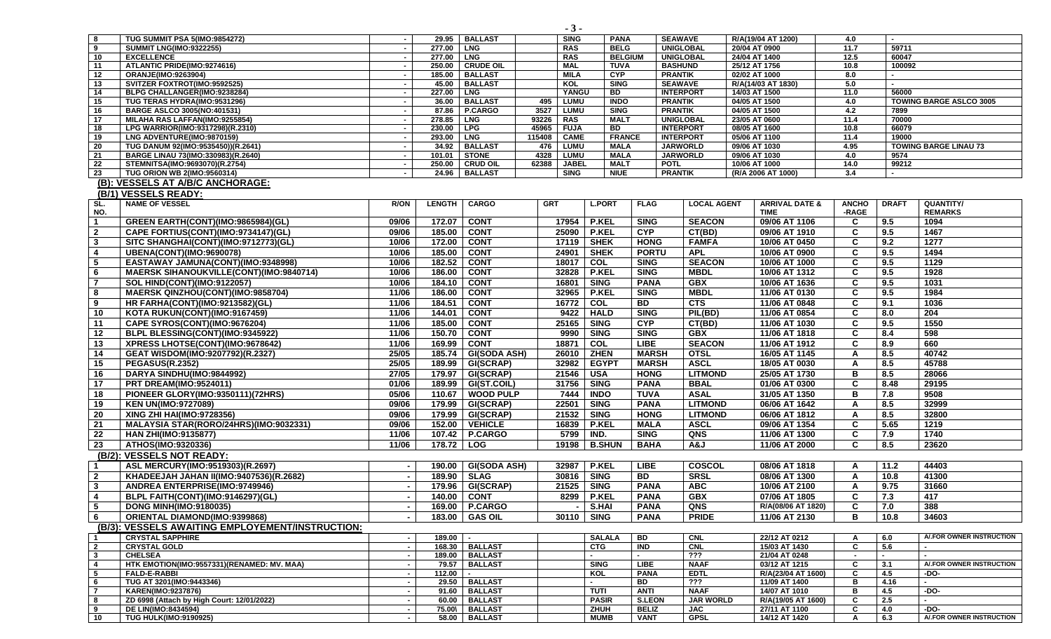| 8                       | <b>TUG SUMMIT PSA 5(IMO:9854272)</b>             | $\sim$                   |               | 29.95   BALLAST     | <b>SING</b>           | <b>PANA</b>    |                | <b>SEAWAVE</b>     | R/A(19/04 AT 1200)        | 4.0          |              |                                |
|-------------------------|--------------------------------------------------|--------------------------|---------------|---------------------|-----------------------|----------------|----------------|--------------------|---------------------------|--------------|--------------|--------------------------------|
| 9                       | <b>SUMMIT LNG(IMO:9322255)</b>                   | $\overline{\phantom{a}}$ | 277.00   LNG  |                     | <b>RAS</b>            | <b>BELG</b>    |                | <b>UNIGLOBAL</b>   | 20/04 AT 0900             | 11.7         | 59711        |                                |
| 10                      | <b>EXCELLENCE</b>                                | $\sim$                   | 277.00   LNG  |                     | <b>RAS</b>            |                | <b>BELGIUM</b> | <b>UNIGLOBAL</b>   | 24/04 AT 1400             | 12.5         | 60047        |                                |
| 11                      | ATLANTIC PRIDE(IMO:9274616)                      | $\sim$                   |               | 250.00 CRUDE OIL    | <b>MAL</b>            | <b>TUVA</b>    |                | <b>BASHUND</b>     | 25/12 AT 1756             | 10.8         | 100092       |                                |
| 12                      | ORANJE(IMO:9263904)                              | $\sim$                   |               | 185.00 BALLAST      | <b>MILA</b>           | CYP            | <b>PRANTIK</b> |                    | 02/02 AT 1000             | 8.0          |              |                                |
| 13                      | SVITZER FOXTROT(IMO:9592525)                     |                          |               | 45.00   BALLAST     | KOL                   | <b>SING</b>    |                | <b>SEAWAVE</b>     | R/A(14/03 AT 1830)        | 5.0          |              |                                |
| $\overline{14}$         | BLPG CHALLANGER(IMO:9238284)                     | $\sim$                   | 227.00   LNG  |                     | YANGU                 | <b>BD</b>      |                | <b>INTERPORT</b>   | 14/03 AT 1500             | 11.0         | 56000        |                                |
| 15                      | TUG TERAS HYDRA(IMO:9531296)                     | $\sim$                   |               | 36.00 BALLAST       | LUMU<br>495           | <b>INDO</b>    | <b>PRANTIK</b> |                    | 04/05 AT 1500             | 4.0          |              | <b>TOWING BARGE ASLCO 3005</b> |
| 16                      | <b>BARGE ASLCO 3005(NO:401531)</b>               | $\sim$                   |               | 87.86   P.CARGO     | 3527<br>LUMU          | <b>SING</b>    | <b>PRANTIK</b> |                    | 04/05 AT 1500             | 4.2          | 7899         |                                |
| 17                      | MILAHA RAS LAFFAN(IMO:9255854)                   | $\sim$                   | 278.85   LNG  |                     | 93226 RAS             | <b>MALT</b>    |                | <b>UNIGLOBAL</b>   | 23/05 AT 0600             | 11.4         | 70000        |                                |
| 18                      | LPG WARRIOR(IMO:9317298)(R.2310)                 | $\sim$                   | 230.00 LPG    |                     | 45965<br><b>FUJA</b>  | BD             |                | <b>INTERPORT</b>   | 08/05 AT 1600             | 10.8         | 66079        |                                |
| 19                      | LNG ADVENTURE(IMO:9870159)                       | $\sim$                   | 293.00        | <b>LNG</b>          | 115408<br><b>CAME</b> |                | <b>FRANCE</b>  | <b>INTERPORT</b>   | 05/06 AT 1100             | 11.4         | 19000        |                                |
| 20                      | TUG DANUM 92(IMO:9535450))(R.2641)               | $\sim$                   |               | 34.92   BALLAST     | LUMU<br>476           | <b>MALA</b>    |                | <b>JARWORLD</b>    | 09/06 AT 1030             | 4.95         |              | <b>TOWING BARGE LINAU 73</b>   |
| 21                      | BARGE LINAU 73(IMO:330983)(R.2640)               | $\sim$                   | 101.01        | STONE               | 4328<br><b>LUMU</b>   | <b>MALA</b>    |                | <b>JARWORLD</b>    | 09/06 AT 1030             | 4.0          | 9574         |                                |
| 22                      | STEMNITSA(IMO:9693070)(R.2754)                   | $\sim$                   |               | 250.00   CRUD OIL   | 62388<br><b>JABEL</b> | <b>MALT</b>    | <b>POTL</b>    |                    | 10/06 AT 1000             | 14.0         | 99212        |                                |
| 23                      | <b>TUG ORION WB 2(IMO:9560314)</b>               |                          | 24.96         | <b>BALLAST</b>      | <b>SING</b>           | <b>NIUE</b>    | <b>PRANTIK</b> |                    | (R/A 2006 AT 1000)        | 3.4          | ٠            |                                |
| $(B)$ :                 | <b>VESSELS AT A/B/C ANCHORAGE:</b>               |                          |               |                     |                       |                |                |                    |                           |              |              |                                |
|                         | (B/1) VESSELS READY:                             |                          |               |                     |                       |                |                |                    |                           |              |              |                                |
| SL.                     | <b>NAME OF VESSEL</b>                            | <b>R/ON</b>              | <b>LENGTH</b> | <b>CARGO</b>        | <b>GRT</b>            | <b>L.PORT</b>  | <b>FLAG</b>    | <b>LOCAL AGENT</b> | <b>ARRIVAL DATE &amp;</b> | <b>ANCHO</b> | <b>DRAFT</b> | QUANTITY/                      |
| NO.                     |                                                  |                          |               |                     |                       |                |                |                    | <b>TIME</b>               | -RAGE        |              | <b>REMARKS</b>                 |
| $\mathbf{1}$            | GREEN EARTH(CONT)(IMO:9865984)(GL)               | 09/06                    | 172.07        | <b>CONT</b>         |                       | 17954   P.KEL  | <b>SING</b>    | <b>SEACON</b>      | 09/06 AT 1106             | C            | 9.5          | 1094                           |
| $\overline{2}$          | CAPE FORTIUS(CONT)(IMO:9734147)(GL)              | 09/06                    | 185.00        | <b>CONT</b>         | 25090                 | <b>P.KEL</b>   | <b>CYP</b>     | CT(BD)             | 09/06 AT 1910             | C            | 9.5          | 1467                           |
| $\mathbf{3}$            | SITC SHANGHAI(CONT)(IMO:9712773)(GL)             | 10/06                    | 172.00        | <b>CONT</b>         | 17119                 | <b>SHEK</b>    | <b>HONG</b>    | <b>FAMFA</b>       | 10/06 AT 0450             | C            | 9.2          | 1277                           |
| 4                       | <b>UBENA(CONT)(IMO:9690078)</b>                  | 10/06                    | 185.00        | <b>CONT</b>         | 24901                 | <b>SHEK</b>    | <b>PORTU</b>   | <b>APL</b>         | 10/06 AT 0900             | C            | 9.5          | 1494                           |
| $\sqrt{5}$              | EASTAWAY JAMUNA(CONT)(IMO:9348998)               | 10/06                    | 182.52        | <b>CONT</b>         | 18017                 | COL            | <b>SING</b>    | <b>SEACON</b>      | 10/06 AT 1000             | C            | 9.5          | 1129                           |
| 6                       | <b>MAERSK SIHANOUKVILLE(CONT)(IMO:9840714)</b>   | 10/06                    | 186.00        | <b>CONT</b>         | 32828                 | <b>P.KEL</b>   | <b>SING</b>    | <b>MBDL</b>        | 10/06 AT 1312             | C            | 9.5          | 1928                           |
| $\overline{7}$          | <b>SOL HIND(CONT)(IMO:9122057)</b>               | 10/06                    | 184.10        | <b>CONT</b>         | 16801                 | <b>SING</b>    | <b>PANA</b>    | <b>GBX</b>         | 10/06 AT 1636             | C            | 9.5          | 1031                           |
| 8                       | MAERSK QINZHOU(CONT)(IMO:9858704)                | 11/06                    | 186.00        | <b>CONT</b>         | 32965                 | <b>P.KEL</b>   | <b>SING</b>    | <b>MBDL</b>        | 11/06 AT 0130             | C            | 9.5          | 1984                           |
| 9                       | <b>HR FARHA(CONT)(IMO:9213582)(GL)</b>           | 11/06                    | 184.51        | <b>CONT</b>         | 16772                 | COL            | <b>BD</b>      | CTS                | 11/06 AT 0848             | C            | 9.1          | 1036                           |
|                         |                                                  |                          |               |                     |                       |                |                |                    |                           |              |              |                                |
| 10                      | KOTA RUKUN(CONT)(IMO:9167459)                    | 11/06                    | 144.01        | <b>CONT</b>         | 9422                  | <b>HALD</b>    | <b>SING</b>    | PIL(BD)            | 11/06 AT 0854             | C            | 8.0          | 204                            |
| 11                      | CAPE SYROS(CONT)(IMO:9676204)                    | 11/06                    | 185.00        | <b>CONT</b>         | 25165                 | <b>SING</b>    | <b>CYP</b>     | CT(BD)             | 11/06 AT 1030             | C            | 9.5          | 1550                           |
| 12                      | BLPL BLESSING(CONT)(IMO:9345922)                 | 11/06                    | 150.70        | <b>CONT</b>         | 9990                  | <b>SING</b>    | <b>SING</b>    | <b>GBX</b>         | 11/06 AT 1818             | C            | 8.4          | 598                            |
| 13                      | XPRESS LHOTSE(CONT)(IMO:9678642)                 | 11/06                    | 169.99        | <b>CONT</b>         | 18871                 | $\overline{c}$ | <b>LIBE</b>    | <b>SEACON</b>      | 11/06 AT 1912             | C            | 8.9          | 660                            |
| 14                      | GEAT WISDOM(IMO:9207792)(R.2327)                 | 25/05                    | 185.74        | <b>GI(SODA ASH)</b> | 26010                 | <b>ZHEN</b>    | <b>MARSH</b>   | <b>OTSL</b>        | 16/05 AT 1145             | A            | 8.5          | 40742                          |
| 15                      | <b>PEGASUS(R.2352)</b>                           | 25/05                    | 189.99        | GI(SCRAP)           | 32982                 | <b>EGYPT</b>   | <b>MARSH</b>   | <b>ASCL</b>        | 18/05 AT 0030             | A            | 8.5          | 45788                          |
| 16                      | DARYA SINDHU(IMO:9844992)                        | 27/05                    | 179.97        | GI(SCRAP)           | 21546                 | <b>USA</b>     | <b>HONG</b>    | <b>LITMOND</b>     | 25/05 AT 1730             | B            | 8.5          | 28066                          |
| 17                      | <b>PRT DREAM(IMO:9524011)</b>                    | 01/06                    | 189.99        | <b>GI(ST.COIL)</b>  | 31756                 | <b>SING</b>    | <b>PANA</b>    | <b>BBAL</b>        | 01/06 AT 0300             | C            | 8.48         | 29195                          |
| 18                      | PIONEER GLORY(IMO:9350111)(72HRS)                | 05/06                    | 110.67        | <b>WOOD PULP</b>    | 7444                  | <b>INDO</b>    | <b>TUVA</b>    | <b>ASAL</b>        | 31/05 AT 1350             | B            | 7.8          | 9508                           |
| 19                      | <b>KEN UN(IMO:9727089)</b>                       | 09/06                    | 179.99        | GI(SCRAP)           | 22501                 | <b>SING</b>    | <b>PANA</b>    | <b>LITMOND</b>     | 06/06 AT 1642             | A            | 8.5          | 32999                          |
| 20                      | XING ZHI HAI(IMO:9728356)                        | 09/06                    | 179.99        | GI(SCRAP)           | 21532                 | <b>SING</b>    | <b>HONG</b>    | <b>LITMOND</b>     | 06/06 AT 1812             | A            | 8.5          | 32800                          |
| 21                      | MALAYSIA STAR(RORO/24HRS)(IMO:9032331)           | 09/06                    | 152.00        | <b>VEHICLE</b>      | 16839                 | <b>P.KEL</b>   | <b>MALA</b>    | <b>ASCL</b>        | 09/06 AT 1354             | C            | 5.65         | 1219                           |
|                         |                                                  |                          |               |                     |                       |                |                |                    |                           |              |              |                                |
| 22                      | <b>HAN ZHI(IMO:9135877)</b>                      | 11/06                    | 107.42        | P.CARGO             | 5799                  | IND.           | <b>SING</b>    | QNS                | 11/06 AT 1300             | C            | 7.9          | 1740                           |
| 23                      | ATHOS(IMO:9320336)                               | 11/06                    | 178.72 LOG    |                     |                       | 19198   B.SHUN | <b>BAHA</b>    | A&J                | 11/06 AT 2000             | C            | 8.5          | 23620                          |
|                         | (B/2): VESSELS NOT READY:                        |                          |               |                     |                       |                |                |                    |                           |              |              |                                |
|                         | ASL MERCURY(IMO:9519303)(R.2697)                 |                          | 190.00        | <b>GI(SODA ASH)</b> | 32987                 | <b>P.KEL</b>   | <b>LIBE</b>    | COSCOL             | 08/06 AT 1818             | A            | 11.2         | 44403                          |
| $\overline{2}$          | KHADEEJAH JAHAN II(IMO:9407536)(R.2682)          | $\blacksquare$           | 189.90        | <b>SLAG</b>         | 30816                 | <b>SING</b>    | BD             | <b>SRSL</b>        | 08/06 AT 1300             | A            | 10.8         | 41300                          |
| $\mathbf{3}$            | ANDREA ENTERPRISE(IMO:9749946)                   |                          | 179.96        | <b>GI(SCRAP)</b>    | 21525                 | <b>SING</b>    | <b>PANA</b>    | <b>ABC</b>         | 10/06 AT 2100             | A            | 9.75         | 31660                          |
| 4                       | BLPL FAITH(CONT)(IMO:9146297)(GL)                |                          | 140.00        | <b>CONT</b>         | 8299                  | <b>P.KEL</b>   | <b>PANA</b>    | <b>GBX</b>         | 07/06 AT 1805             | C            | 7.3          | 417                            |
| - 5                     | <b>DONG MINH(IMO:9180035)</b>                    |                          |               | 169.00 P.CARGO      |                       | $-$ S.HAI      | <b>PANA</b>    | QNS                | R/A(08/06 AT 1820)        | C            | 7.0          | 388                            |
| 6                       | <b>ORIENTAL DIAMOND(IMO:9399868)</b>             |                          |               | 183.00 GAS OIL      |                       | 30110 SING     | <b>PANA</b>    | <b>PRIDE</b>       | 11/06 AT 2130             | B            | 10.8         | 34603                          |
|                         | (B/3): VESSELS AWAITING EMPLOYEMENT/INSTRUCTION: |                          |               |                     |                       |                |                |                    |                           |              |              |                                |
| $\mathbf{1}$            | <b>CRYSTAL SAPPHIRE</b>                          |                          | $189.00$ $-$  |                     |                       | <b>SALALA</b>  | <b>BD</b>      | <b>CNL</b>         | 22/12 AT 0212             | A            | 6.0          | A/.FOR OWNER INSTRUCTION       |
| $\overline{2}$          | <b>CRYSTAL GOLD</b>                              |                          |               | 168.30 BALLAST      |                       | <b>CTG</b>     | <b>IND</b>     | CNL                | 15/03 AT 1430             | C            | 5.6          |                                |
| $\overline{\mathbf{3}}$ | <b>CHELSEA</b>                                   | $\sim$                   |               | 189.00 BALLAST      |                       |                | $\blacksquare$ | $\overline{???}$   | 21/04 AT 0248             | $\sim$       | $\sim$       |                                |
| $\overline{4}$          | HTK EMOTION(IMO:9557331)(RENAMED: MV. MAA)       | $\sim$                   |               | 79.57   BALLAST     |                       | <b>SING</b>    | <b>LIBE</b>    | <b>NAAF</b>        | 03/12 AT 1215             | C            | 3.1          | A/.FOR OWNER INSTRUCTION       |
| 5                       | <b>FALD-E-RABBI</b>                              | $\blacksquare$           | $112.00 -$    |                     |                       | KOL            | <b>PANA</b>    | <b>EDTL</b>        | R/A(23/04 AT 1600)        | C            | 4.5          | -DO-                           |
| 6                       | TUG AT 3201(IMO:9443346)                         | $\sim$                   |               | 29.50 BALLAST       |                       |                | BD             | $\overline{?}$     | 11/09 AT 1400             | в            | 4.16         |                                |
| $\overline{7}$          | <b>KAREN(IMO:9237876)</b>                        |                          |               | 91.60 BALLAST       |                       | TUTI           | <b>ANTI</b>    | <b>NAAF</b>        | 14/07 AT 1010             | в            | 4.5          | $-DO-$                         |
| 8                       | ZD 6998 (Attach by High Court: 12/01/2022)       | $\sim$                   |               | 60.00   BALLAST     |                       | <b>PASIR</b>   | <b>S.LEON</b>  | <b>JAR WORLD</b>   | R/A(19/05 AT 1600)        | C            | 2.5          |                                |
| 9                       | <b>DE LIN(IMO:8434594)</b>                       | $\sim$                   |               | 75.00\ BALLAST      |                       | ZHUH           | <b>BELIZ</b>   | <b>JAC</b>         | 27/11 AT 1100             | C            | 4.0          | -DO-                           |
| 10                      | <b>TUG HULK(IMO:9190925)</b>                     | $\sim$                   |               | 58.00   BALLAST     |                       | <b>MUMB</b>    | VANT           | <b>GPSL</b>        | 14/12 AT 1420             | Α            | 6.3          | A/.FOR OWNER INSTRUCTION       |

 $\blacksquare$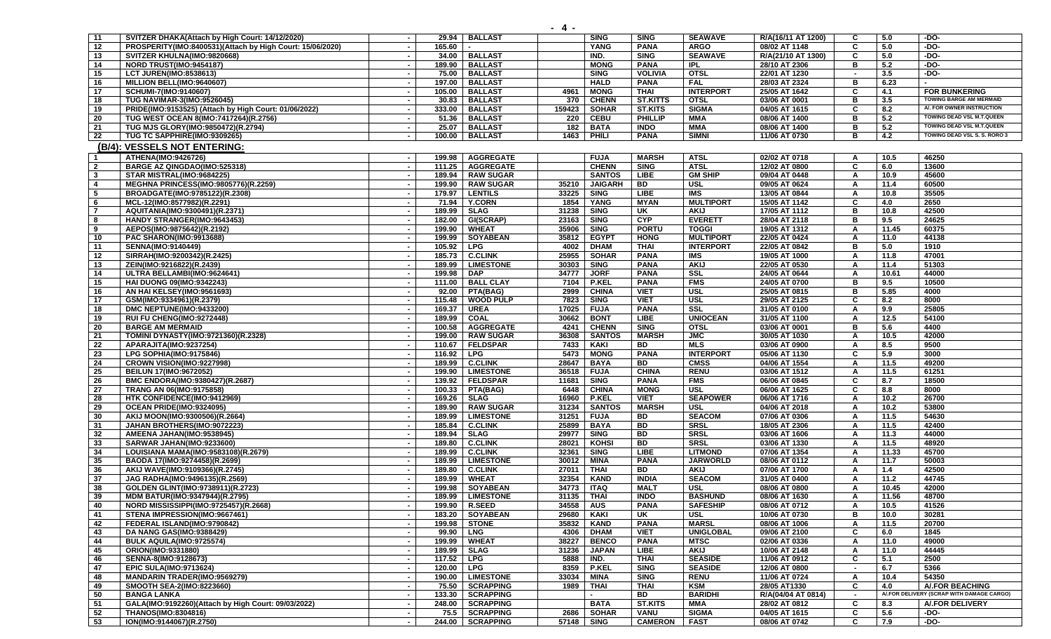| $\overline{11}$ | SVITZER DHAKA(Attach by High Court: 14/12/2020)                 |                          | 29.94            | <b>BALLAST</b>                       |               | <b>SING</b>                | SING                         | <b>SEAWAVE</b>             | R/A(16/11 AT 1200)             | C.             | 5.0         | -DO-                                                         |
|-----------------|-----------------------------------------------------------------|--------------------------|------------------|--------------------------------------|---------------|----------------------------|------------------------------|----------------------------|--------------------------------|----------------|-------------|--------------------------------------------------------------|
| $\overline{12}$ | PROSPERITY(IMO:8400531)(Attach by High Court: 15/06/2020)       | $\blacksquare$           | 165.60           |                                      |               | <b>YANG</b>                | <b>PANA</b>                  | <b>ARGO</b>                | 08/02 AT 1148                  | C.             | 5.0         | $-DO-$                                                       |
| 13              | SVITZER KHULNA(IMO:9820668)                                     | $\sim$                   |                  | 34.00   BALLAST                      |               | IND.                       | <b>SING</b>                  | <b>SEAWAVE</b>             | R/A(21/10 AT 1300)             | C              | 5.0         | -DO-                                                         |
| 14              | NORD TRUST(IMO:9454187)                                         | $\sim$                   | 189.90           | <b>BALLAST</b>                       |               | <b>MONG</b>                | <b>PANA</b>                  | <b>IPL</b>                 | 28/10 AT 2306                  | в              | 5.2         | $-DO-$                                                       |
| 15              | <b>LCT JUREN(IMO:8538613)</b>                                   |                          | 75.00            | <b>BALLAST</b>                       |               | <b>SING</b>                | <b>VOLIVIA</b>               | <b>OTSL</b>                | 22/01 AT 1230                  |                | 3.5         | $-DO-$                                                       |
| 16              | MILLION BELL(IMO:9640607)                                       |                          | 197.00           | <b>BALLAST</b>                       |               | <b>HALD</b>                | <b>PANA</b>                  | <b>FAL</b>                 | 28/03 AT 2324                  | B              | 6.23        |                                                              |
| 17              | SCHUMI-7(IMO:9140607)                                           |                          | 105.00           | <b>BALLAST</b>                       | 4961          | <b>MONG</b>                | <b>THAI</b>                  | <b>INTERPORT</b>           | 25/05 AT 1642                  | C.             | 4.1         | <b>FOR BUNKERING</b>                                         |
| $\overline{18}$ | TUG NAVIMAR-3(IMO:9526045)                                      |                          | 30.83            | <b>BALLAST</b>                       | 370           | <b>CHENN</b>               | <b>ST.KITTS</b>              | <b>OTSL</b>                | 03/06 AT 0001                  | в              | 3.5         | <b>TOWING BARGE AM MERMAID</b>                               |
| 19              | PRIDE(IMO:9153525) (Attach by High Court: 01/06/2022)           | $\sim$                   | 333.00           | <b>BALLAST</b>                       | 159423        | <b>SOHAR</b>               | <b>ST.KITS</b>               | <b>SIGMA</b>               | 04/05 AT 1615                  | C              | 8.2         | A/. FOR OWNER INSTRUCTION                                    |
| 20              | TUG WEST OCEAN 8(IMO:7417264)(R.2756)                           |                          | 51.36            | <b>BALLAST</b>                       | 220           | <b>CEBU</b>                | <b>PHILLIP</b>               | MMA                        | 08/06 AT 1400                  | в              | 5.2         | TOWING DEAD VSL M.T.QUEEN                                    |
| 21              | TUG MJS GLORY(IMO:9850472)(R.2794)                              | $\sim$                   | 25.07            | <b>BALLAST</b>                       | 182           | <b>BATA</b>                | <b>INDO</b>                  | <b>MMA</b>                 | 08/06 AT 1400                  | в              | 5.2         | TOWING DEAD VSL M.T.QUEEN                                    |
| 22              | TUG TC SAPPHIRE(IMO:9309265)                                    |                          | 100.00           | <b>BALLAST</b>                       | 1463          | <b>PHILI</b>               | <b>PANA</b>                  | <b>SIMNI</b>               | 11/06 AT 0730                  | в              | 4.2         | TOWING DEAD VSL S. S. RORO 3                                 |
|                 | (B/4): VESSELS NOT ENTERING:                                    |                          |                  |                                      |               |                            |                              |                            |                                |                |             |                                                              |
| $\mathbf{1}$    | ATHENA(IMO:9426726)                                             |                          | 199.98           | <b>AGGREGATE</b>                     |               | <b>FUJA</b>                | <b>MARSH</b>                 | <b>ATSL</b>                | 02/02 AT 0718                  | A              | 10.5        | 46250                                                        |
| $\overline{2}$  | BARGE AZ QINGDAO(IMO:525318)                                    | $\overline{\phantom{a}}$ | 111.25           | <b>AGGREGATE</b>                     |               | <b>CHENN</b>               | <b>SING</b>                  | <b>ATSL</b>                | 12/02 AT 0800                  | C              | 6.0         | 13600                                                        |
| $\mathbf{3}$    | STAR MISTRAL(IMO:9684225)                                       |                          | 189.94           | <b>RAW SUGAR</b>                     |               | <b>SANTOS</b>              | LIBE                         | <b>GM SHIP</b>             | 09/04 AT 0448                  | A              | 10.9        | 45600                                                        |
| $\overline{4}$  | <b>MEGHNA PRINCESS(IMO:9805776)(R.2259)</b>                     |                          | 199.90           | <b>RAW SUGAR</b>                     | 35210         | <b>JAIGARH</b>             | BD                           | <b>USL</b>                 | 09/05 AT 0624                  | A              | 11.4        | 60500                                                        |
| 5               | BROADGATE(IMO:9785122)(R.2308)                                  |                          | 179.97           | <b>LENTILS</b>                       | 33225         | <b>SING</b>                | LIBE                         | IMS                        | 13/05 AT 0844                  | A              | 10.8        | 35505                                                        |
| 6               | MCL-12(IMO:8577982)(R.2291)                                     | $\sim$                   | 71.94            | <b>Y.CORN</b>                        | 1854          | YANG                       | <b>MYAN</b>                  | <b>MULTIPORT</b>           | 15/05 AT 1142                  | C              | 4.0         | 2650                                                         |
| $\overline{7}$  | AQUITANIA(IMO:9300491)(R.2371)                                  |                          | 189.99           | <b>SLAG</b>                          | 31238         | <b>SING</b>                | UK                           | <b>AKIJ</b>                | 17/05 AT 1112                  | в              | 10.8        | 42500                                                        |
| 8               | HANDY STRANGER(IMO:9643453)                                     |                          | 182.00           | GI(SCRAP)                            | 23163         | <b>SING</b>                | <b>CYP</b>                   | <b>EVERETT</b>             | 28/04 AT 2118                  | в              | 9.5         | 24625                                                        |
| 9               | AEPOS(IMO:9875642)(R.2192)                                      |                          | 199.90           | <b>WHEAT</b>                         | 35906         | <b>SING</b>                | <b>PORTU</b>                 | <b>TOGGI</b>               | 19/05 AT 1312                  | A              | 11.45       | 60375                                                        |
| 10              | PAC SHARON(IMO:9913688)                                         | $\overline{\phantom{a}}$ | 199.99           | <b>SOYABEAN</b>                      | 35812         | <b>EGYPT</b>               | <b>HONG</b>                  | <b>MULTIPORT</b>           | 22/05 AT 0424                  | A              | 11.0        | 44138                                                        |
| 11              | <b>SENNA(IMO:9140449)</b>                                       | $\sim$                   | 105.92           | <b>LPG</b>                           | 4002          | <b>DHAM</b>                | <b>THAI</b>                  | <b>INTERPORT</b>           | 22/05 AT 0842                  | в              | 5.0         | 1910                                                         |
| $\overline{12}$ | SIRRAH(IMO:9200342)(R.2425)                                     |                          | 185.73           | <b>C.CLINK</b>                       | 25955         | <b>SOHAR</b>               | <b>PANA</b>                  | IMS                        | 19/05 AT 1000                  | A              | 11.8        | 47001                                                        |
| 13              | ZEIN(IMO:9216822)(R.2439)                                       |                          | 189.99           | <b>LIMESTONE</b>                     | 30303         | <b>SING</b>                | <b>PANA</b>                  | <b>AKIJ</b>                | 22/05 AT 0530                  | A              | 11.4        | 51303                                                        |
| 14              |                                                                 |                          | 199.98           | <b>DAP</b>                           | 34777         | <b>JORF</b>                | <b>PANA</b>                  | $s$ ssl                    | 24/05 AT 0644                  | A              | 10.61       | 44000                                                        |
| 15              | ULTRA BELLAMBI(IMO:9624641)<br><b>HAI DUONG 09(IMO:9342243)</b> |                          | 111.00           | <b>BALL CLAY</b>                     | 7104          | <b>P.KEL</b>               | <b>PANA</b>                  | <b>FMS</b>                 | 24/05 AT 0700                  | в              | 9.5         | 10500                                                        |
| 16              | AN HAI KELSEY(IMO:9561693)                                      | $\sim$                   | 92.00            | PTA(BAG)                             | 2999          | <b>CHINA</b>               | <b>VIET</b>                  | <b>USL</b>                 | 25/05 AT 0815                  | в              | 5.85        | 4000                                                         |
| 17              | GSM(IMO:9334961)(R.2379)                                        |                          | 115.48           | <b>WOOD PULP</b>                     | 7823          | <b>SING</b>                | <b>VIET</b>                  | <b>USL</b>                 | 29/05 AT 2125                  | C              | 8.2         | 8000                                                         |
| 18              | DMC NEPTUNE(IMO:9433200)                                        | $\sim$                   | 169.37           | <b>UREA</b>                          | 17025         | <b>FUJA</b>                | <b>PANA</b>                  | SSL                        | 31/05 AT 0100                  | A              | 9.9         | 25805                                                        |
| 19              |                                                                 |                          | 189.99           |                                      | 30662         | <b>BONT</b>                | <b>LIBE</b>                  | <b>UNIOCEAN</b>            |                                |                | 12.5        | 54100                                                        |
|                 | RUI FU CHENG(IMO:9272448)                                       |                          |                  | <b>COAL</b>                          |               | <b>CHENN</b>               | <b>SING</b>                  |                            | 31/05 AT 1100                  | A<br>в         | 5.6         | 4400                                                         |
| 20              | <b>BARGE AM MERMAID</b><br>TOMINI DYNASTY(IMO:9721360)(R.2328)  | $\sim$                   | 100.58<br>199.00 | <b>AGGREGATE</b><br><b>RAW SUGAR</b> | 4241<br>36308 | <b>SANTOS</b>              | <b>MARSH</b>                 | <b>OTSL</b><br><b>JMC</b>  | 03/06 AT 0001<br>30/05 AT 1030 | A              | 10.5        | 42000                                                        |
| 21<br>22        |                                                                 |                          | 110.67           | <b>FELDSPAR</b>                      | 7433          | <b>KAKI</b>                | BD                           | <b>MLS</b>                 |                                |                | 8.5         | 9500                                                         |
|                 | APARAJITA(IMO:9237254)                                          |                          |                  |                                      |               |                            |                              |                            | 03/06 AT 0900                  | A<br>C.        | 5.9         | 3000                                                         |
| 23              | LPG SOPHIA(IMO:9175846)                                         |                          | 116.92           | <b>LPG</b>                           | 5473          | <b>MONG</b>                | <b>PANA</b>                  | <b>INTERPORT</b>           | 05/06 AT 1130                  |                |             |                                                              |
| 24              | CROWN VISION(IMO:9227998)                                       |                          | 189.99           | <b>C.CLINK</b>                       | 28647         | <b>BAYA</b>                | BD                           | <b>CMSS</b><br><b>RENU</b> | 04/06 AT 1554                  | A              | 11.5        | 49200<br>61251                                               |
| 25              | BEILUN 17(IMO:9672052)                                          | $\sim$                   | 199.90           | <b>LIMESTONE</b>                     | 36518         | <b>FUJA</b><br><b>SING</b> | <b>CHINA</b><br><b>PANA</b>  | <b>FMS</b>                 | 03/06 AT 1512                  | A<br>C         | 11.5<br>8.7 | 18500                                                        |
| 26<br>27        | BMC ENDORA(IMO:9380427)(R.2687)                                 |                          | 139.92           | <b>FELDSPAR</b>                      | 11681         | <b>CHINA</b>               | <b>MONG</b>                  | <b>USL</b>                 | 06/06 AT 0845                  | C              | 8.8         | 8000                                                         |
|                 | TRANG AN 06(IMO:9175858)                                        |                          | 100.33           | PTA(BAG)                             | 6448          |                            |                              |                            | 06/06 AT 1625                  |                |             |                                                              |
| 28              | HTK CONFIDENCE(IMO:9412969)                                     |                          | 169.26           | <b>SLAG</b>                          | 16960         | <b>P.KEL</b>               | <b>VIET</b>                  | <b>SEAPOWER</b>            | 06/06 AT 1716                  | A              | 10.2        | 26700                                                        |
| 29              | OCEAN PRIDE(IMO:9324095)                                        |                          | 189.90           | <b>RAW SUGAR</b>                     | 31234         | <b>SANTOS</b>              | <b>MARSH</b>                 | <b>USL</b>                 | 04/06 AT 2018                  | A              | 10.2        | 53800                                                        |
| 30              | AKIJ MOON(IMO:9300506)(R.2664)                                  | $\overline{\phantom{a}}$ | 189.99           | <b>LIMESTONE</b>                     | 31251         | <b>FUJA</b>                | BD                           | <b>SEACOM</b>              | 07/06 AT 0306                  | A              | 11.5        | 54630                                                        |
| 31              | JAHAN BROTHERS(IMO:9072223)                                     | $\sim$                   | 185.84           | <b>C.CLINK</b>                       | 25899         | <b>BAYA</b>                | BD                           | <b>SRSL</b>                | 18/05 AT 2306                  | A              | 11.5        | 42400                                                        |
| 32              | AMEENA JAHAN(IMO:9538945)                                       | $\sim$                   | 189.94           | <b>SLAG</b>                          | 29977         | <b>SING</b>                | <b>BD</b><br>$\overline{BD}$ | <b>SRSL</b><br><b>SRSL</b> | 03/06 AT 1606                  | A              | 11.3        | 44000                                                        |
| 33              | SARWAR JAHAN(IMO:9233600)                                       |                          | 189.80           | <b>C.CLINK</b>                       | 28021         | <b>KOHSI</b>               |                              |                            | 03/06 AT 1330                  | A              | 11.5        | 48920                                                        |
| 34              | LOUISIANA MAMA(IMO:9583108)(R.2679)                             |                          | 189.99           | <b>C.CLINK</b>                       | 32361         | <b>SING</b>                | <b>LIBE</b>                  | <b>LITMOND</b>             | 07/06 AT 1354                  | A              | 11.33       | 45700                                                        |
| 35<br>36        | BAODA 17(IMO:9274458)(R.2699)                                   |                          | 189.99           | <b>LIMESTONE</b>                     | 30012         | MINA                       | <b>PANA</b>                  | <b>JARWORLD</b>            | 08/06 AT 0112<br>07/06 AT 1700 | A              | 11.7        | 50003<br>42500                                               |
|                 | AKIJ WAVE(IMO:9109366)(R.2745)                                  |                          | 189.80           | <b>C.CLINK</b>                       | 27011         | <b>THAI</b>                | BD                           | <b>AKIJ</b>                |                                | A              | 1.4         |                                                              |
| 37<br>38        | JAG RADHA(IMO:9496135)(R.2569)                                  |                          | 189.99           | <b>WHEAT</b>                         | 32354         | <b>KAND</b>                | <b>INDIA</b>                 | <b>SEACOM</b>              | 31/05 AT 0400                  | A              | 11.2        | 44745                                                        |
|                 | GOLDEN GLINT(IMO:9738911)(R.2723)                               |                          |                  | 199.98 SOYABEAN                      | 34773         | <b>ITAQ</b>                | <b>MALT</b>                  | <b>USL</b>                 | 08/06 AT 0800                  | A              | 10.45       | 42000                                                        |
| 39              | MDM BATUR(IMO:9347944)(R.2795)                                  |                          |                  | 189.99 LIMESTONE                     | 31135   THAI  |                            | <b>INDO</b>                  | <b>BASHUND</b>             | 08/06 AT 1630                  | A              | 11.56       | 48700                                                        |
| 40              | NORD MISSISSIPPI(IMO:9725457)(R.2668)                           | $\sim$                   | 199.90           | <b>R.SEED</b>                        | 34558         | <b>AUS</b>                 | <b>PANA</b>                  | <b>SAFESHIP</b>            | 08/06 AT 0712                  | A              | 10.5        | 41526                                                        |
| 41              | STENA IMPRESSION(IMO:9667461)                                   |                          | 183.20           | <b>SOYABEAN</b>                      | 29680         | KAKI                       | UK                           | <b>USL</b>                 | 10/06 AT 0730                  | в              | 10.0        | 30281                                                        |
| 42              | FEDERAL ISLAND(IMO:9790842)                                     | $\overline{\phantom{a}}$ | 199.98           | <b>STONE</b>                         | 35832         | <b>KAND</b>                | <b>PANA</b>                  | <b>MARSL</b>               | 08/06 AT 1006                  | Α              | 11.5        | 20700                                                        |
| 43              | DA NANG GAS(IMO:9388429)                                        | $\sim$                   | 99.90            | LNG                                  | 4306          | <b>DHAM</b>                | <b>VIET</b>                  | <b>UNIGLOBAL</b>           | 09/06 AT 2100                  | C              | 6.0         | 1845                                                         |
| 44              | BULK AQUILA(IMO:9725574)                                        | $\sim$                   | 199.99           | <b>WHEAT</b>                         | 38227         | <b>BENCO</b>               | <b>PANA</b>                  | <b>MTSC</b>                | 02/06 AT 0336                  | A              | 11.0        | 49000                                                        |
| 45              | ORION(IMO:9331880)                                              | $\sim$                   | 189.99           | <b>SLAG</b>                          | 31236         | JAPAN                      | LIBE                         | AKIJ                       | 10/06 AT 2148                  | A              | 11.0        | 44445                                                        |
| 46              | SENNA-8(IMO:9128673)                                            | $\sim$                   | 117.52           | LPG                                  | 5888          | IND.                       | <b>THAI</b>                  | <b>SEASIDE</b>             | 11/06 AT 0912                  | C              | 5.1         | 2500                                                         |
| 47              | <b>EPIC SULA(IMO:9713624)</b>                                   |                          | 120.00           | <b>LPG</b>                           | 8359          | <b>P.KEL</b>               | <b>SING</b>                  | <b>SEASIDE</b>             | 12/06 AT 0800                  |                | 6.7         | 5366                                                         |
| 48              | <b>MANDARIN TRADER(IMO:9569279)</b>                             | $\sim$                   |                  | 190.00   LIMESTONE                   | 33034         | MINA                       | <b>SING</b>                  | <b>RENU</b>                | 11/06 AT 0724                  | A              | 10.4        | 54350                                                        |
| 49              | SMOOTH SEA-2(IMO:8223660)                                       | $\blacksquare$           |                  | 75.50 SCRAPPING                      | 1989          | <b>THAI</b>                | <b>THAI</b>                  | KSM                        | 28/05 AT1330                   | C.             | 4.0         | A/.FOR BEACHING<br>A/.FOR DELIVERY (SCRAP WITH DAMAGE CARGO) |
| 50              | <b>BANGA LANKA</b>                                              | $\sim$                   |                  | 133.30 SCRAPPING                     |               |                            | BD                           | <b>BARIDHI</b>             | R/A(04/04 AT 0814)             | $\blacksquare$ |             |                                                              |
| 51              | GALA(IMO:9192260)(Attach by High Court: 09/03/2022)             | $\sim$                   |                  | 248.00   SCRAPPING                   |               | <b>BATA</b>                | ST.KITS                      | MMA                        | 28/02 AT 0812                  | C.             | 8.3         | A/.FOR DELIVERY                                              |
| 52              | <b>THANOS(IMO:8304816)</b>                                      | $\sim$                   |                  | 75.5   SCRAPPING                     | 2686          | <b>SOHAR</b>               | VANU                         | SIGMA                      | 04/05 AT 1615                  | C              | 5.6         | -DO-                                                         |

53 | ION(IMO:9144067)(R.2750) | - | 244.00 | SCRAPPING | 57148 | SING | CAMERON | FAST | 08/06 AT 0742 | C | 7.9 | -DO-